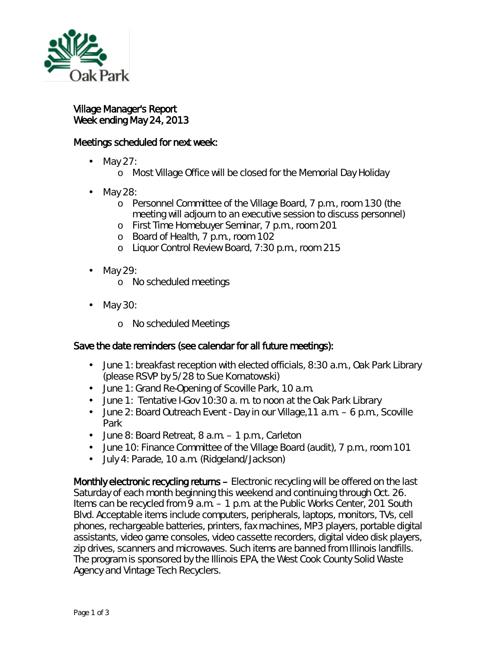

l,

Village Manager's Report Week ending May 24, 2013

## Meetings scheduled for next week:

- May 27:
	- <sup>o</sup> Most Village Office will be closed for the Memorial Day Holiday
- May 28:
	- o Personnel Committee of the Village Board, 7 p.m., room 130 (the meeting will adjourn to an executive session to discuss personnel)
	- o First Time Homebuyer Seminar, 7 p.m., room 201
	- o Board of Health, 7 p.m., room 102
	- o Liquor Control Review Board, 7:30 p.m., room 215
- May 29: ä,
	- o No scheduled meetings
- May 30: ò,
	- o No scheduled Meetings

## Save the date reminders (see calendar for all future meetings):

- June 1: breakfast reception with elected officials, 8:30 a.m., Oak Park Library ä, (please RSVP by 5/28 to Sue Kornatowski)
- June 1: Grand Re-Opening of Scoville Park, 10 a.m.  $\mathcal{L}^{\text{max}}$
- June 1: *Tentative* I-Gov 10:30 a. m. to noon at the Oak Park Library ä.
- June 2: Board Outreach Event Day in our Village,11 a.m. 6 p.m., Scoville Park
- June 8: Board Retreat, 8 a.m. 1 p.m., Carleton
- June 10: Finance Committee of the Village Board (audit), 7 p.m., room 101
- July 4: Parade, 10 a.m. (Ridgeland/Jackson)  $\mathbf{r}^{\prime}$

Monthly electronic recycling returns – Electronic recycling will be offered on the last Saturday of each month beginning this weekend and continuing through Oct. 26. Items can be recycled from 9 a.m. – 1 p.m. at the Public Works Center, 201 South Blvd. Acceptable items include computers, peripherals, laptops, monitors, TVs, cell phones, rechargeable batteries, printers, fax machines, MP3 players, portable digital assistants, video game consoles, video cassette recorders, digital video disk players, zip drives, scanners and microwaves. Such items are banned from Illinois landfills. The program is sponsored by the Illinois EPA, the West Cook County Solid Waste Agency and Vintage Tech Recyclers.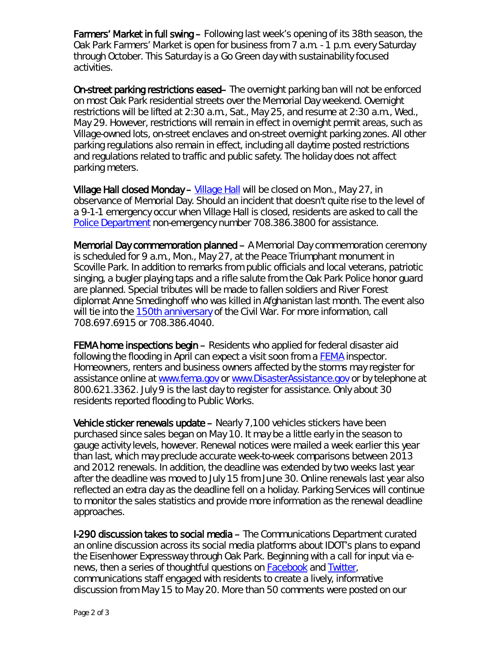Farmers' Market in full swing – Following last week's opening of its 38th season, the Oak Park Farmers' Market is open for business from 7 a.m. - 1 p.m. every Saturday through October. This Saturday is a Go Green day with sustainability focused activities.

On-street parking restrictions eased– The overnight parking ban will not be enforced on most Oak Park residential streets over the Memorial Day weekend. Overnight restrictions will be lifted at 2:30 a.m., Sat., May 25, and resume at 2:30 a.m., Wed., May 29. However, restrictions will remain in effect in overnight permit areas, such as Village-owned lots, on-street enclaves and on-street overnight parking zones. All other parking regulations also remain in effect, including all daytime posted restrictions and regulations related to traffic and public safety. The holiday does not affect parking meters.

Village Hall closed Monday – [Village Hall](http://www.oak-park.us/About_Our_Village/about_our_village.html) will be closed on Mon., May 27, in observance of Memorial Day. Should an incident that doesn't quite rise to the level of a 9-1-1 emergency occur when Village Hall is closed, residents are asked to call the [Police Department](http://www.oak-park.us/Police/index.html) non-emergency number 708.386.3800 for assistance.

Memorial Day commemoration planned – A Memorial Day commemoration ceremony is scheduled for 9 a.m., Mon., May 27, at the Peace Triumphant monument in Scoville Park. In addition to remarks from public officials and local veterans, patriotic singing, a bugler playing taps and a rifle salute from the Oak Park Police honor guard are planned. Special tributes will be made to fallen soldiers and River Forest diplomat Anne Smedinghoff who was killed in Afghanistan last month. The event also will tie into the [150th anniversary](http://www.civilwar.org/150th-anniversary/) of the Civil War. For more information, call 708.697.6915 or 708.386.4040.

FEMA home inspections begin – Residents who applied for federal disaster aid following the flooding in April can expect a visit soon from a [FEMA](http://www.fema.gov/) inspector. Homeowners, renters and business owners affected by the storms may register for assistance online at [www.fema.gov](http://www.fema.gov/) or [www.DisasterAssistance.gov](http://www.disasterassistance.gov/) or by telephone at 800.621.3362. July 9 is the last day to register for assistance. Only about 30 residents reported flooding to Public Works.

Vehicle sticker renewals update – Nearly 7,100 vehicles stickers have been purchased since sales began on May 10. It may be a little early in the season to gauge activity levels, however. Renewal notices were mailed a week earlier this year than last, which may preclude accurate week-to-week comparisons between 2013 and 2012 renewals. In addition, the deadline was extended by two weeks last year after the deadline was moved to July 15 from June 30. Online renewals last year also reflected an extra day as the deadline fell on a holiday. Parking Services will continue to monitor the sales statistics and provide more information as the renewal deadline approaches.

I-290 discussion takes to social media – The Communications Department curated an online discussion across its social media platforms about IDOT's plans to expand the Eisenhower Expressway through Oak Park. Beginning with a call for input via *enews*, then a series of thoughtful questions on [Facebook](http://www.facebook.com/vopnews) and [Twitter,](https://twitter.com/vopnews) communications staff engaged with residents to create a lively, informative discussion from May 15 to May 20. More than 50 comments were posted on our